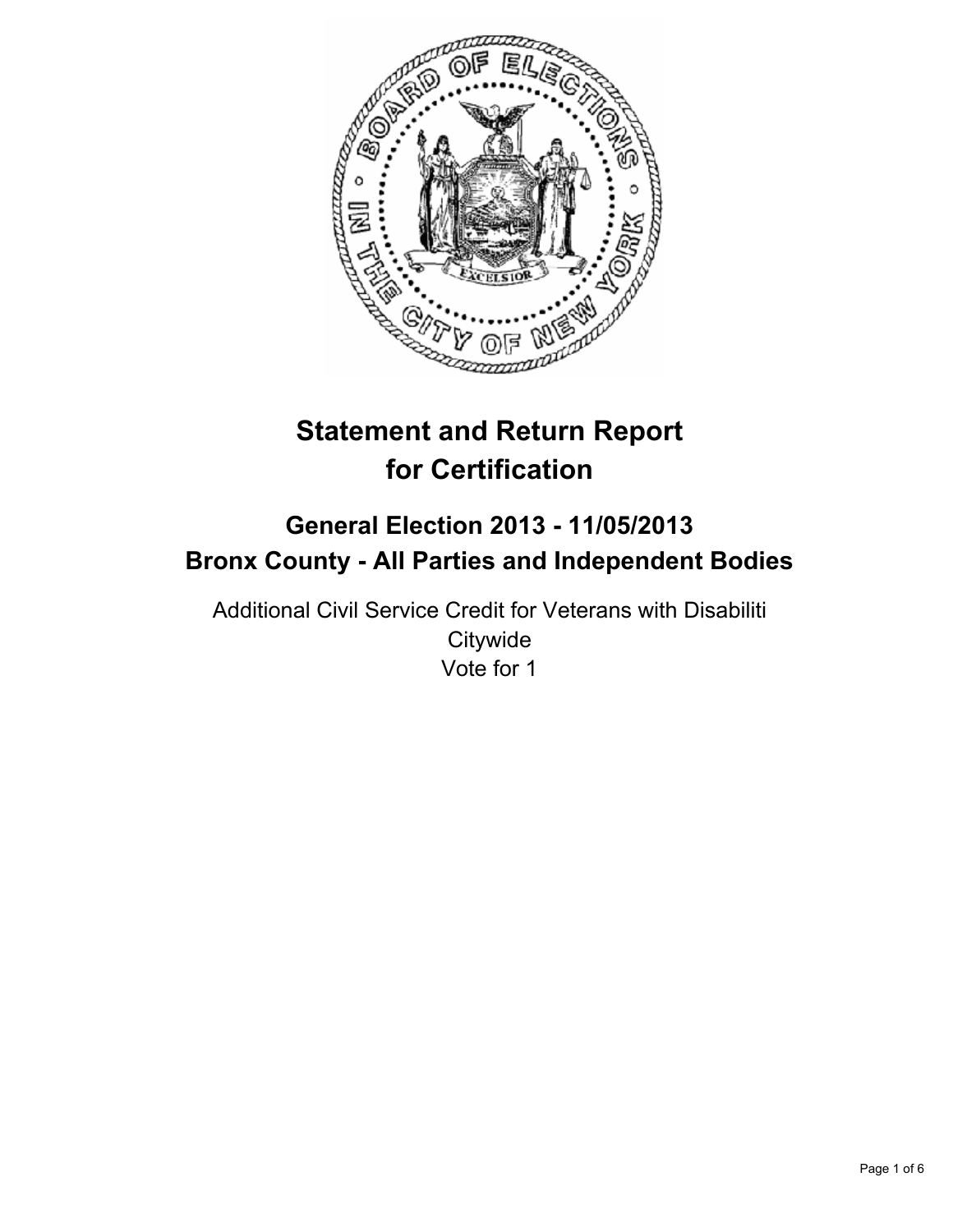

# **Statement and Return Report for Certification**

# **General Election 2013 - 11/05/2013 Bronx County - All Parties and Independent Bodies**

Additional Civil Service Credit for Veterans with Disabiliti **Citywide** Vote for 1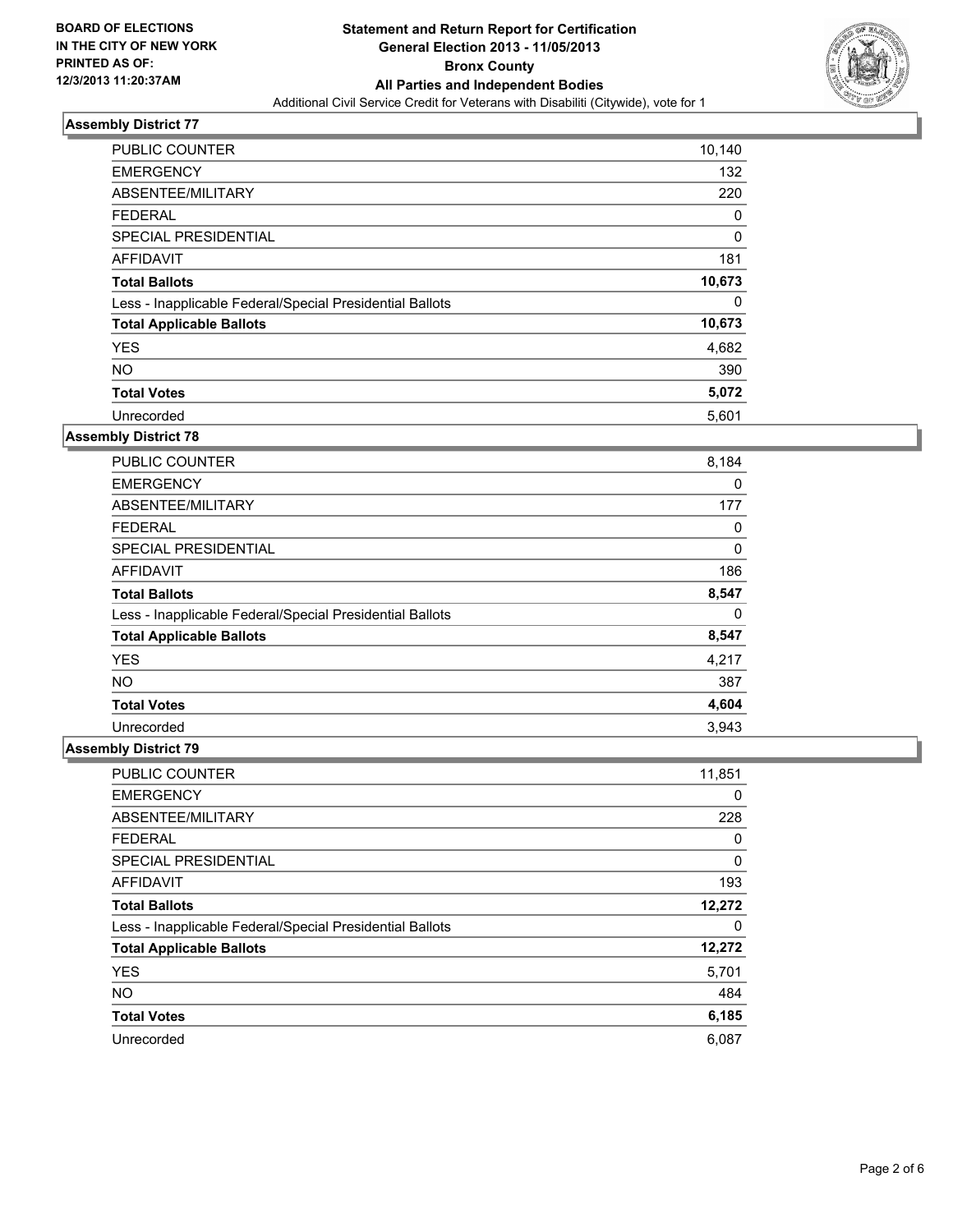

| <b>PUBLIC COUNTER</b>                                    | 10,140 |
|----------------------------------------------------------|--------|
| <b>EMERGENCY</b>                                         | 132    |
| ABSENTEE/MILITARY                                        | 220    |
| <b>FEDERAL</b>                                           | 0      |
| SPECIAL PRESIDENTIAL                                     | 0      |
| AFFIDAVIT                                                | 181    |
| <b>Total Ballots</b>                                     | 10,673 |
| Less - Inapplicable Federal/Special Presidential Ballots | 0      |
| <b>Total Applicable Ballots</b>                          | 10,673 |
| <b>YES</b>                                               | 4,682  |
| <b>NO</b>                                                | 390    |
| <b>Total Votes</b>                                       | 5,072  |
| Unrecorded                                               | 5,601  |

# **Assembly District 78**

| <b>PUBLIC COUNTER</b>                                    | 8,184 |
|----------------------------------------------------------|-------|
| <b>EMERGENCY</b>                                         | 0     |
| ABSENTEE/MILITARY                                        | 177   |
| <b>FEDERAL</b>                                           | 0     |
| <b>SPECIAL PRESIDENTIAL</b>                              | 0     |
| AFFIDAVIT                                                | 186   |
| <b>Total Ballots</b>                                     | 8,547 |
| Less - Inapplicable Federal/Special Presidential Ballots | 0     |
| <b>Total Applicable Ballots</b>                          | 8,547 |
| <b>YES</b>                                               | 4,217 |
| NO.                                                      | 387   |
| <b>Total Votes</b>                                       | 4,604 |
| Unrecorded                                               | 3,943 |

| PUBLIC COUNTER                                           | 11,851 |
|----------------------------------------------------------|--------|
| <b>EMERGENCY</b>                                         | 0      |
| ABSENTEE/MILITARY                                        | 228    |
| <b>FEDERAL</b>                                           | 0      |
| SPECIAL PRESIDENTIAL                                     | 0      |
| AFFIDAVIT                                                | 193    |
| <b>Total Ballots</b>                                     | 12,272 |
| Less - Inapplicable Federal/Special Presidential Ballots | 0      |
| <b>Total Applicable Ballots</b>                          | 12,272 |
| <b>YES</b>                                               | 5,701  |
| <b>NO</b>                                                | 484    |
| <b>Total Votes</b>                                       | 6,185  |
| Unrecorded                                               | 6,087  |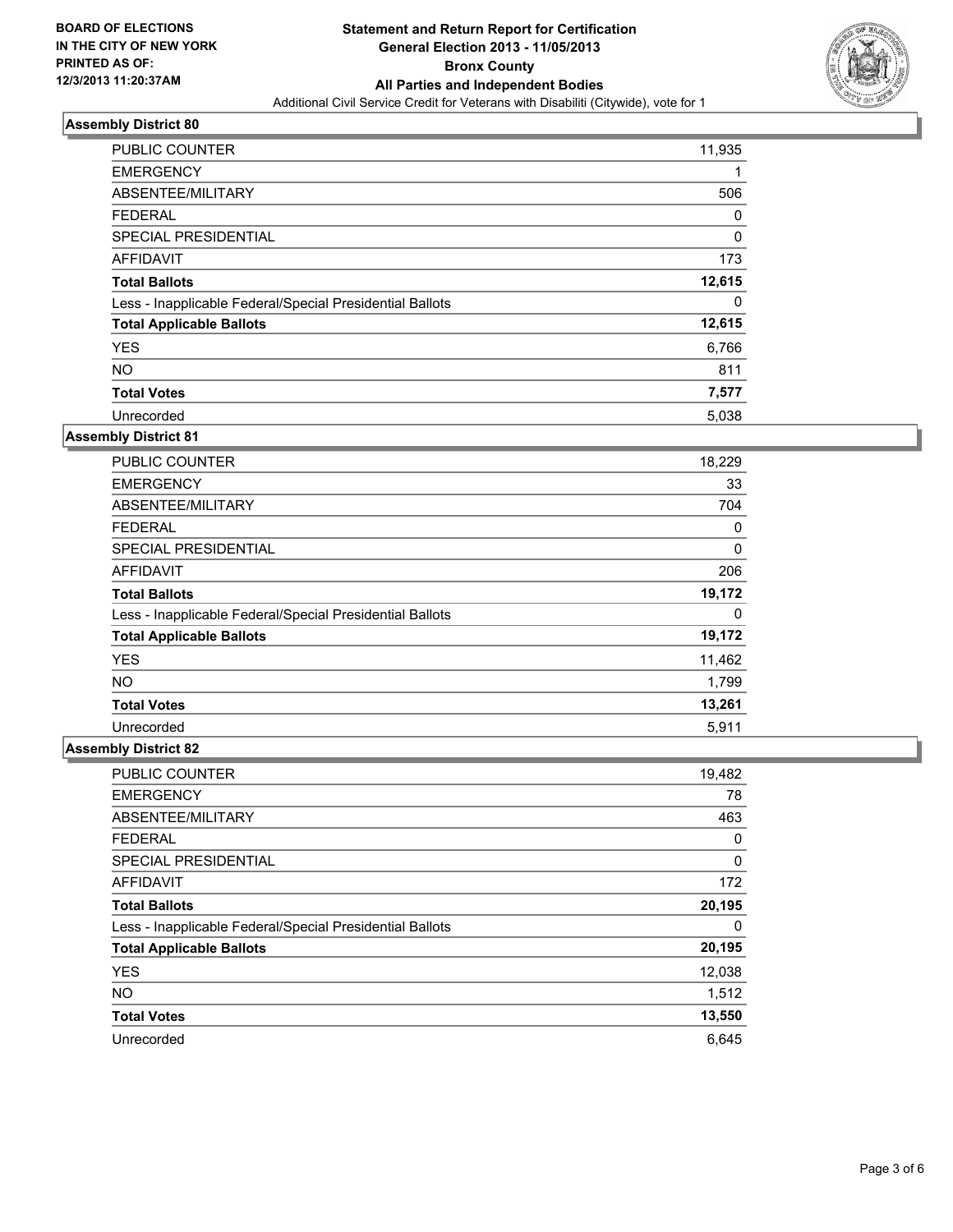

| <b>PUBLIC COUNTER</b>                                    | 11,935 |
|----------------------------------------------------------|--------|
| <b>EMERGENCY</b>                                         |        |
| ABSENTEE/MILITARY                                        | 506    |
| <b>FEDERAL</b>                                           | 0      |
| <b>SPECIAL PRESIDENTIAL</b>                              | 0      |
| AFFIDAVIT                                                | 173    |
| <b>Total Ballots</b>                                     | 12,615 |
| Less - Inapplicable Federal/Special Presidential Ballots | 0      |
| <b>Total Applicable Ballots</b>                          | 12,615 |
| <b>YES</b>                                               | 6,766  |
| <b>NO</b>                                                | 811    |
| <b>Total Votes</b>                                       | 7,577  |
| Unrecorded                                               | 5,038  |

# **Assembly District 81**

| <b>PUBLIC COUNTER</b>                                    | 18,229 |
|----------------------------------------------------------|--------|
| <b>EMERGENCY</b>                                         | 33     |
| ABSENTEE/MILITARY                                        | 704    |
| <b>FEDERAL</b>                                           | 0      |
| SPECIAL PRESIDENTIAL                                     | 0      |
| AFFIDAVIT                                                | 206    |
| <b>Total Ballots</b>                                     | 19,172 |
| Less - Inapplicable Federal/Special Presidential Ballots | 0      |
| <b>Total Applicable Ballots</b>                          | 19,172 |
| <b>YES</b>                                               | 11,462 |
| <b>NO</b>                                                | 1,799  |
| <b>Total Votes</b>                                       | 13,261 |
| Unrecorded                                               | 5,911  |

| PUBLIC COUNTER                                           | 19,482 |
|----------------------------------------------------------|--------|
| <b>EMERGENCY</b>                                         | 78     |
| ABSENTEE/MILITARY                                        | 463    |
| <b>FEDERAL</b>                                           | 0      |
| SPECIAL PRESIDENTIAL                                     | 0      |
| AFFIDAVIT                                                | 172    |
| <b>Total Ballots</b>                                     | 20,195 |
| Less - Inapplicable Federal/Special Presidential Ballots | 0      |
| <b>Total Applicable Ballots</b>                          | 20,195 |
| <b>YES</b>                                               | 12,038 |
| <b>NO</b>                                                | 1,512  |
| <b>Total Votes</b>                                       | 13,550 |
| Unrecorded                                               | 6.645  |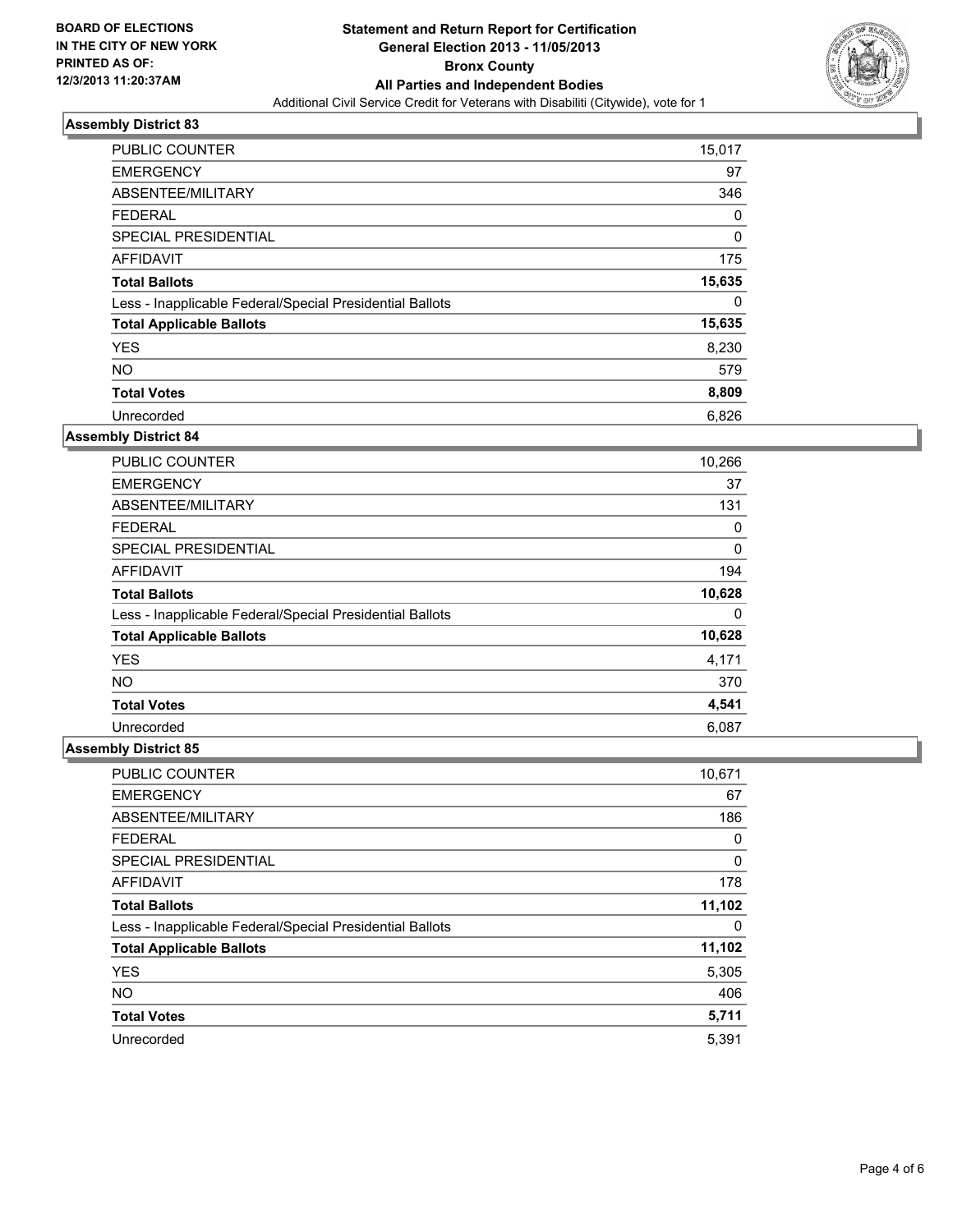

| <b>PUBLIC COUNTER</b>                                    | 15,017 |
|----------------------------------------------------------|--------|
| <b>EMERGENCY</b>                                         | 97     |
| ABSENTEE/MILITARY                                        | 346    |
| <b>FEDERAL</b>                                           | 0      |
| SPECIAL PRESIDENTIAL                                     | 0      |
| AFFIDAVIT                                                | 175    |
| <b>Total Ballots</b>                                     | 15,635 |
| Less - Inapplicable Federal/Special Presidential Ballots | 0      |
| <b>Total Applicable Ballots</b>                          | 15,635 |
| <b>YES</b>                                               | 8,230  |
| <b>NO</b>                                                | 579    |
| <b>Total Votes</b>                                       | 8,809  |
| Unrecorded                                               | 6,826  |

# **Assembly District 84**

| <b>PUBLIC COUNTER</b>                                    | 10,266 |
|----------------------------------------------------------|--------|
| <b>EMERGENCY</b>                                         | 37     |
| ABSENTEE/MILITARY                                        | 131    |
| <b>FEDERAL</b>                                           | 0      |
| <b>SPECIAL PRESIDENTIAL</b>                              | 0      |
| AFFIDAVIT                                                | 194    |
| <b>Total Ballots</b>                                     | 10,628 |
| Less - Inapplicable Federal/Special Presidential Ballots | 0      |
| <b>Total Applicable Ballots</b>                          | 10,628 |
| <b>YES</b>                                               | 4,171  |
| <b>NO</b>                                                | 370    |
| <b>Total Votes</b>                                       | 4,541  |
| Unrecorded                                               | 6,087  |

| <b>PUBLIC COUNTER</b>                                    | 10,671 |
|----------------------------------------------------------|--------|
| <b>EMERGENCY</b>                                         | 67     |
| ABSENTEE/MILITARY                                        | 186    |
| <b>FEDERAL</b>                                           | 0      |
| SPECIAL PRESIDENTIAL                                     | 0      |
| <b>AFFIDAVIT</b>                                         | 178    |
| <b>Total Ballots</b>                                     | 11,102 |
| Less - Inapplicable Federal/Special Presidential Ballots | 0      |
| <b>Total Applicable Ballots</b>                          | 11,102 |
| <b>YES</b>                                               | 5,305  |
| <b>NO</b>                                                | 406    |
| <b>Total Votes</b>                                       | 5,711  |
| Unrecorded                                               | 5,391  |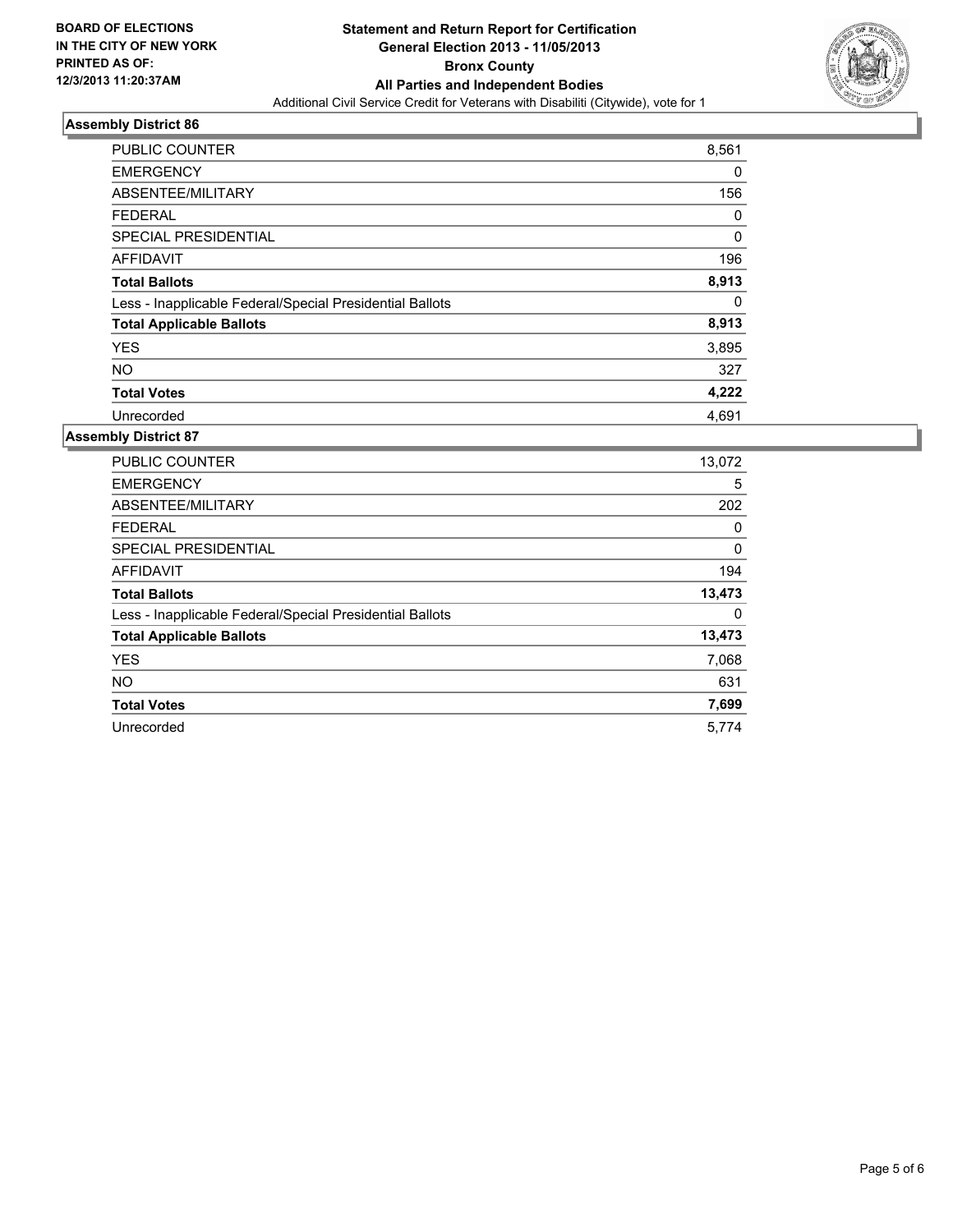

| <b>PUBLIC COUNTER</b>                                    | 8,561       |
|----------------------------------------------------------|-------------|
| <b>EMERGENCY</b>                                         | 0           |
| ABSENTEE/MILITARY                                        | 156         |
| <b>FEDERAL</b>                                           | 0           |
| SPECIAL PRESIDENTIAL                                     | $\mathbf 0$ |
| <b>AFFIDAVIT</b>                                         | 196         |
| <b>Total Ballots</b>                                     | 8,913       |
| Less - Inapplicable Federal/Special Presidential Ballots | 0           |
| <b>Total Applicable Ballots</b>                          | 8,913       |
| <b>YES</b>                                               | 3,895       |
| <b>NO</b>                                                | 327         |
| <b>Total Votes</b>                                       | 4,222       |
| Unrecorded                                               | 4,691       |

| <b>PUBLIC COUNTER</b>                                    | 13,072 |
|----------------------------------------------------------|--------|
| <b>EMERGENCY</b>                                         | 5      |
| ABSENTEE/MILITARY                                        | 202    |
| <b>FEDERAL</b>                                           | 0      |
| SPECIAL PRESIDENTIAL                                     | 0      |
| <b>AFFIDAVIT</b>                                         | 194    |
| <b>Total Ballots</b>                                     | 13,473 |
| Less - Inapplicable Federal/Special Presidential Ballots | 0      |
| <b>Total Applicable Ballots</b>                          | 13,473 |
| <b>YES</b>                                               | 7,068  |
| <b>NO</b>                                                | 631    |
| <b>Total Votes</b>                                       | 7,699  |
| Unrecorded                                               | 5,774  |